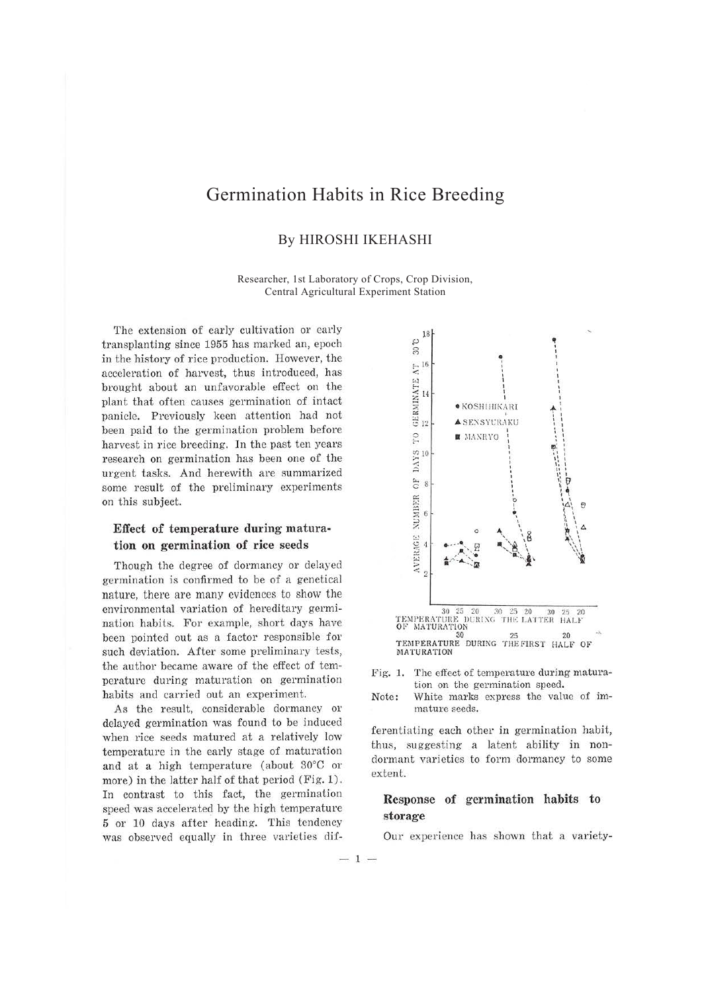# Germination Habits in Rice Breeding

### By HIROSHI IKEHASHI

Researcher, 1st Laboratory of Crops, Crop Division, Central Agricultural Experiment Station

The extension of early cultivation or early transplanting since 1955 has marked an, epoch in the history of rice production. However, the acceleration of harvest, thus introduced, has brought about an unfavorable effect on the plant that often causes germination of intact panicle. Previously keen attention had not been paid to the germination problem before harvest in rice breeding. In the past ten years research on germination has been one of the urgent tasks. And herewith are summarized some result of the preliminary experiments on this subject.

### **Effect of temperature during maturation on germination of rice seeds**

Though the degree of dormancy or delayed germination is confirmed to be of a genetical nature, there are many evidences to show the environmental variation of hereditary germination habits. For example, short days have been pointed out as a factor responsible for such deviation. After some preliminary tests, the author became aware of the effect of temperature during maturation on germination habits and carried out an experiment.

As the result, considerable dormancy or delayed germination was found to be induced when rice seeds matured at a relatively low temperature in the early stage of maturation and at a high temperature (about 30°C or more) in the latter half of that period (Fig. 1). In contrast to this fact, the germination speed was accelerated by the high temperature 5 or 10 days after heading. This tendency was observed equally in three varieties dif-



Fig. 1. The effect of temperature during maturation on the germination speed.

Note: White marks express the value of immature seeds.

ferentiating each other in germination habit, thus, suggesting a latent ability in nondormant varieties to form dormancy to some extent.

## **Response of germination habits to storage**

Our experience has shown that a variety-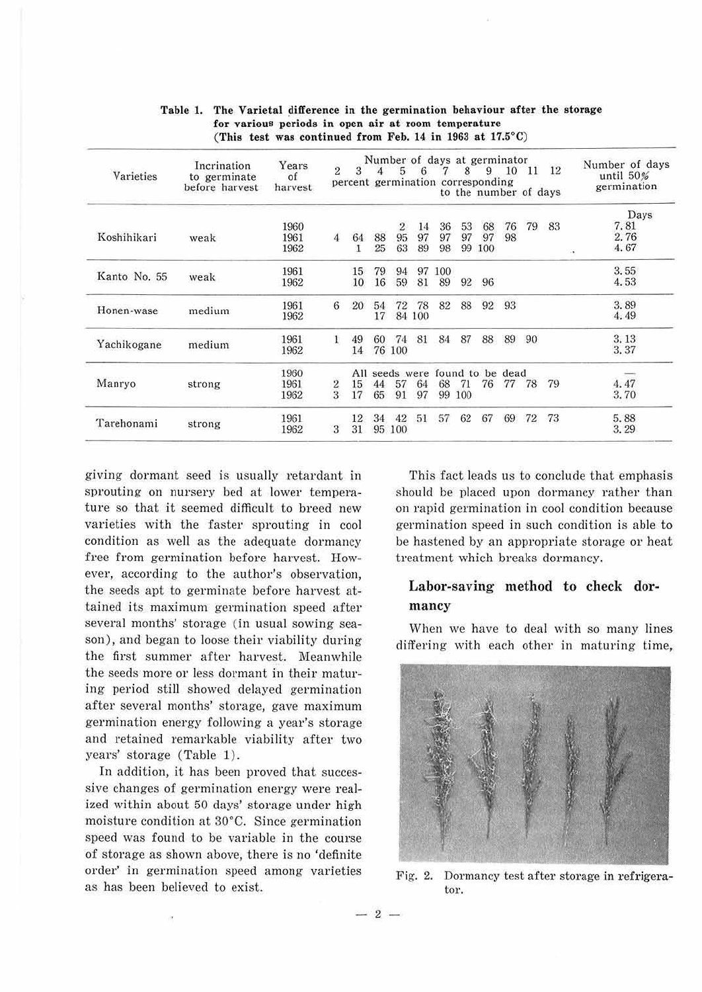| Varieties    | Incrination<br>to germinate<br>before harvest | Years<br>of<br>harvest | $\overline{2}$ | 3          |    | 5      | 6      |     | Number of days at germinator<br>8<br>percent germination corresponding<br>to the number of days | 9   | 10 | 11 | 12 | Number of days<br>until 50%<br>germination |
|--------------|-----------------------------------------------|------------------------|----------------|------------|----|--------|--------|-----|-------------------------------------------------------------------------------------------------|-----|----|----|----|--------------------------------------------|
|              |                                               |                        |                |            |    |        |        |     |                                                                                                 |     |    |    |    | Days                                       |
|              |                                               | 1960                   |                |            |    | 2      | 14     | 36  | 53                                                                                              | 68  | 76 | 79 | 83 | 7.81                                       |
| Koshihikari  | weak                                          | 1961                   | 4              | 64         | 88 | 95     | 97     | 97  | 97                                                                                              | 97  | 98 |    |    | 2.76                                       |
|              |                                               | 1962                   |                |            | 25 | 63     | 89     | 98  | 99                                                                                              | 100 |    |    |    | 4.67<br>o.                                 |
| Kanto No. 55 |                                               | 1961                   |                | 15         | 79 | 94     | 97     | 100 |                                                                                                 |     |    |    |    | 3.55                                       |
|              | weak                                          | 1962                   |                | 10         | 16 | 59     | 81     | 89  | 92                                                                                              | 96  |    |    |    | 4.53                                       |
| Honen-wase   |                                               | 1961                   | 6              | 20         | 54 | 72     | 78     | 82  | 88                                                                                              | 92  | 93 |    |    | 3.89                                       |
|              | medium                                        | 1962                   |                |            | 17 |        | 84 100 |     |                                                                                                 |     |    |    |    | 4.49                                       |
| Yachikogane  |                                               | 1961                   | 1              | 49         | 60 | 74     | 81     | 84  | 87                                                                                              | 88  | 89 | 90 |    | 3.13                                       |
|              | medium                                        | 1962                   |                | 14         |    | 76 100 |        |     |                                                                                                 |     |    |    |    | 3.37                                       |
| Manryo       |                                               |                        | All            | seeds were |    |        |        |     |                                                                                                 |     |    |    |    |                                            |
|              | strong                                        | 1961                   |                | 15         | 44 | 57     | 64     | 68  | 71                                                                                              | 76  | 77 | 78 | 79 | 4.47                                       |
|              |                                               | 1962                   | $\frac{2}{3}$  | 17         | 65 | 91     | 97     | 99  | 100                                                                                             |     |    |    |    | 3.70                                       |
| Tarehonami   |                                               | 1961                   |                | 12         | 34 | 42     | 51     | 57  | 62                                                                                              | 67  | 69 | 72 | 73 | 5.88                                       |
|              | strong                                        | 1962                   | 3              | 31         |    | 95 100 |        |     |                                                                                                 |     |    |    |    | 3.29                                       |

#### Table 1. The Varietal difference in the germination behaviour after the storage for various periods in open air at room temperature (This test was continued from Feb. 14 in 1963 at 17.5°C)

giving dormant seed is usually retardant in sprouting on nursery bed at lower temperature so that it seemed difficult to breed new varieties with the faster sprouting in cool condition as well as the adequate dormancy free from germination before harvest. However, according to the author's observation, the seeds apt to germinate before harvest attained its maximum germination speed after several months' storage (in usual sowing season), and began to loose their viability during the first summer after harvest. Meanwhile the seeds more or less dormant in their maturing period still showed delayed germination after several months' storage, gave maximum germination energy following a year's storage and retained remarkable viability after two years' storage (Table 1).

In addition, it has been proved that successive changes of germination energy were realized within about 50 days' storage under high moisture condition at 30°C. Since germination speed was found to be variable in the course of storage as shown above, there is no 'definite order' in germination speed among varieties as has been believed to exist.

This fact leads us to conclude that emphasis should be placed upon dormancy rather than on rapid germination in cool condition because germination speed in such condition is able to be hastened by an appropriate storage or heat treatment which breaks dormancy.

### **Labor-saving method to check dormancy**

When we have to deal with so many lines differing with each other in maturing time,



Fig. 2. Dormancy test after storage in refrigerator.

 $-2-$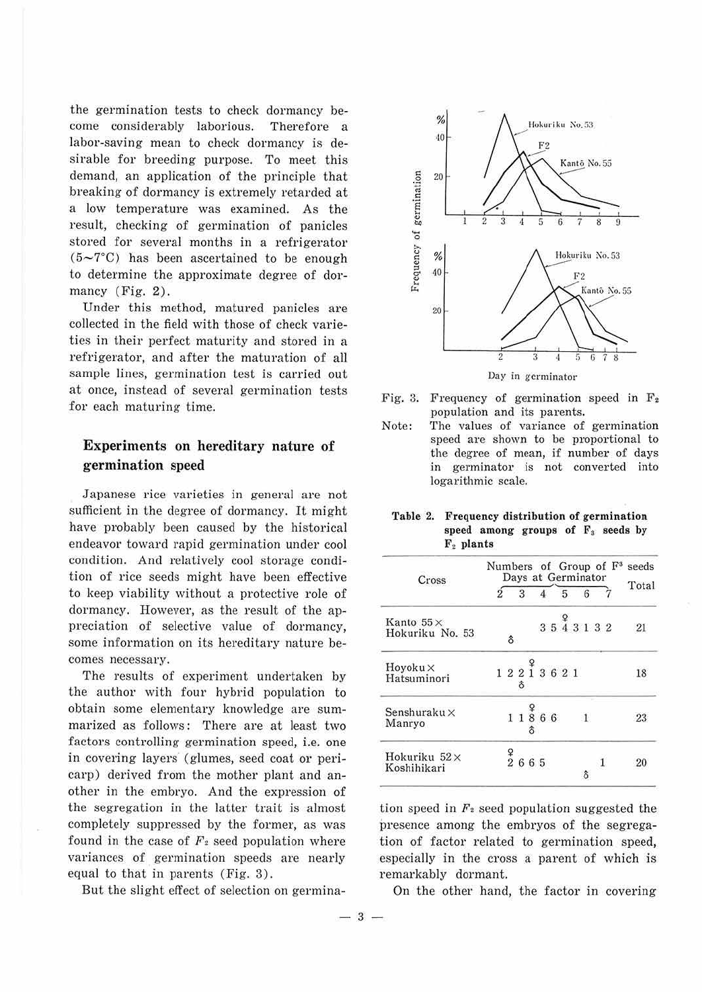the germination tests to check dormancy become considerably laborious. Therefore a labor-saving mean to check dormancy is desirable for breeding purpose. To meet this demand, an application of the principle that breaking of dormancy is extremely retarded at a low temperature was examined. As the result, checking of germination of panicles stored for several months in a refrigerator  $(5-7^{\circ}\text{C})$  has been ascertained to be enough to determine the approximate degree of dormancy (Fig. 2).

Under this method, matured panicles are collected in the field with those of check varieties in their perfect maturity and stored in a refrigerator, and after the maturation of all sample lines, germination test is carried out at once, instead of several germination tests for each maturing time.

## **Experiments** on **hereditary nature** of **germination** speed

Japanese rice varieties in general are not sufficient in the degree of dormancy. It might have probably been caused by the historical endeavor toward rapid germination under cool condition. And relatively cool storage condition of rice seeds might have been effective to keep viability without a protective role of dormancy. However, as the result of the appreciation of selective value of dormancy, some information on its hereditary nature becomes necessary.

The results of experiment undertaken by the author with four hybrid population to obtain some elementary knowledge are summarized as follows: There are at least two factors controlling germination speed, i.e. one in covering layers (glumes, seed coat or pericarp) derived from the mother plant and another in the embryo. And the expression of the segregation in the latter trait is almost completely suppressed by the former, as was found in the case of  $F_2$  seed population where variances of germination speeds are nearly equal to that in parents (Fig. 3).

But the slight effect of selection on germina-



- Fig. 3. Frequency of germination speed in  $F_2$ population and its parents.
- Note: The values of variance of germination speed are shown to be proportional to the degree of mean, if number of days in germinator is not converted into logarithmic scale.

**Table 2. Frequency distribution of germination**  speed among groups of F<sub>3</sub> seeds by F2 **plants** 

| Cross                               |  |          |                                 |  |  | Numbers of Group of $F^3$<br>Days at Germinator |                |  |                                                                                                                                                                                                                                   |  |  |  | seeds |
|-------------------------------------|--|----------|---------------------------------|--|--|-------------------------------------------------|----------------|--|-----------------------------------------------------------------------------------------------------------------------------------------------------------------------------------------------------------------------------------|--|--|--|-------|
|                                     |  | 3        |                                 |  |  |                                                 | $\overline{5}$ |  | 6                                                                                                                                                                                                                                 |  |  |  | Total |
| Kanto $55\times$<br>Hokuriku No. 53 |  | $\delta$ |                                 |  |  |                                                 |                |  | $3\,\stackrel{\mathtt{\mathfrak{g}}}{5}\,\stackrel{\mathtt{\mathfrak{g}}}{4}\,\stackrel{\mathtt{\mathfrak{g}}}{3}\,\stackrel{\mathtt{\mathfrak{g}}}{1}\,\stackrel{\mathtt{\mathfrak{g}}}{3}\,\stackrel{\mathtt{\mathfrak{g}}}{2}$ |  |  |  | 21    |
| $Hoyoku \times$<br>Hatsuminori      |  |          | $1\ 2\ \frac{9}{1}\ 3\ 6\ 2\ 1$ |  |  |                                                 |                |  |                                                                                                                                                                                                                                   |  |  |  | 18    |
| Senshuraku $\times$<br>Manryo       |  |          | $1\ 1\ 8\ 6\ 6$                 |  |  |                                                 |                |  | $\overline{1}$                                                                                                                                                                                                                    |  |  |  | 23    |
| Hokuriku 52 ×<br>Koshihikari        |  |          | $\frac{9}{2}$ 6 6 5             |  |  |                                                 |                |  |                                                                                                                                                                                                                                   |  |  |  | 21    |

tion speed in  $F<sub>2</sub>$  seed population suggested the presence among the embryos of the segregation of factor related to germination speed, especially in the cross a parent of which is remarkably dormant.

On the other hand, the factor in covering